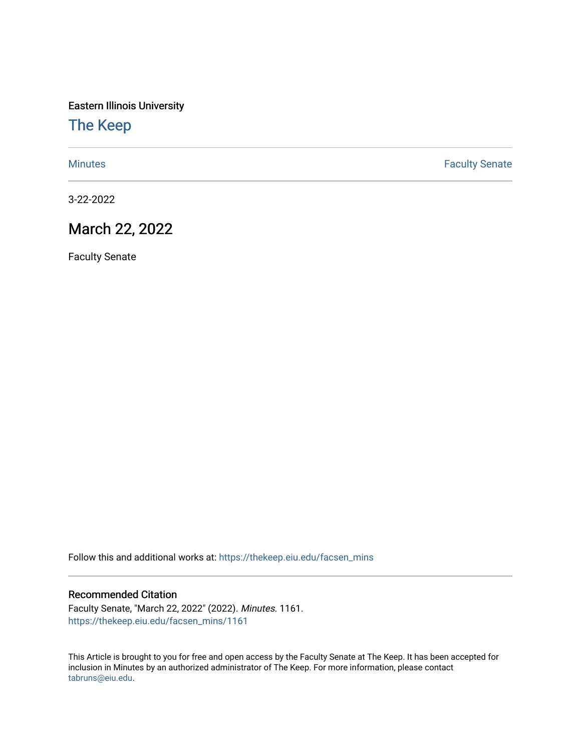Eastern Illinois University

[The Keep](https://thekeep.eiu.edu/) 

[Minutes](https://thekeep.eiu.edu/facsen_mins) **Faculty Senate** 

3-22-2022

## March 22, 2022

Faculty Senate

Follow this and additional works at: [https://thekeep.eiu.edu/facsen\\_mins](https://thekeep.eiu.edu/facsen_mins?utm_source=thekeep.eiu.edu%2Ffacsen_mins%2F1161&utm_medium=PDF&utm_campaign=PDFCoverPages) 

## Recommended Citation

Faculty Senate, "March 22, 2022" (2022). Minutes. 1161. [https://thekeep.eiu.edu/facsen\\_mins/1161](https://thekeep.eiu.edu/facsen_mins/1161?utm_source=thekeep.eiu.edu%2Ffacsen_mins%2F1161&utm_medium=PDF&utm_campaign=PDFCoverPages) 

This Article is brought to you for free and open access by the Faculty Senate at The Keep. It has been accepted for inclusion in Minutes by an authorized administrator of The Keep. For more information, please contact [tabruns@eiu.edu.](mailto:tabruns@eiu.edu)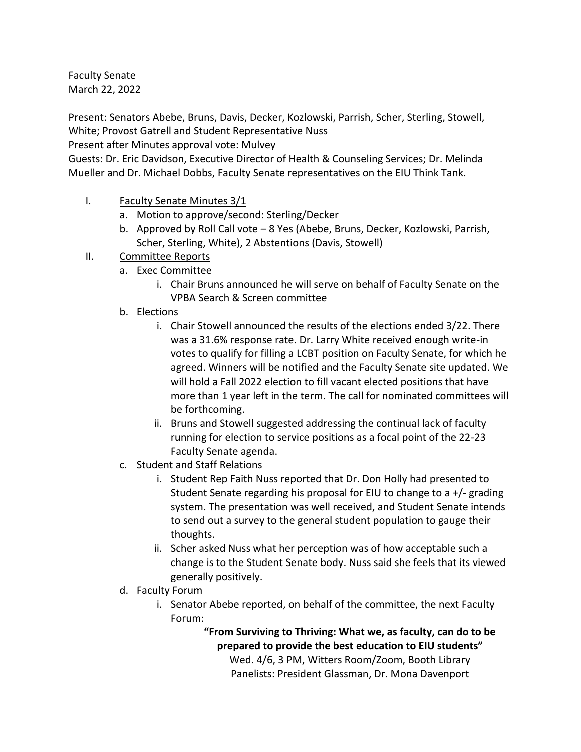Faculty Senate March 22, 2022

Present: Senators Abebe, Bruns, Davis, Decker, Kozlowski, Parrish, Scher, Sterling, Stowell, White; Provost Gatrell and Student Representative Nuss

Present after Minutes approval vote: Mulvey

Guests: Dr. Eric Davidson, Executive Director of Health & Counseling Services; Dr. Melinda Mueller and Dr. Michael Dobbs, Faculty Senate representatives on the EIU Think Tank.

- I. Faculty Senate Minutes 3/1
	- a. Motion to approve/second: Sterling/Decker
	- b. Approved by Roll Call vote 8 Yes (Abebe, Bruns, Decker, Kozlowski, Parrish, Scher, Sterling, White), 2 Abstentions (Davis, Stowell)
- II. Committee Reports
	- a. Exec Committee
		- i. Chair Bruns announced he will serve on behalf of Faculty Senate on the VPBA Search & Screen committee
	- b. Elections
		- i. Chair Stowell announced the results of the elections ended 3/22. There was a 31.6% response rate. Dr. Larry White received enough write-in votes to qualify for filling a LCBT position on Faculty Senate, for which he agreed. Winners will be notified and the Faculty Senate site updated. We will hold a Fall 2022 election to fill vacant elected positions that have more than 1 year left in the term. The call for nominated committees will be forthcoming.
		- ii. Bruns and Stowell suggested addressing the continual lack of faculty running for election to service positions as a focal point of the 22-23 Faculty Senate agenda.
	- c. Student and Staff Relations
		- i. Student Rep Faith Nuss reported that Dr. Don Holly had presented to Student Senate regarding his proposal for EIU to change to a +/- grading system. The presentation was well received, and Student Senate intends to send out a survey to the general student population to gauge their thoughts.
		- ii. Scher asked Nuss what her perception was of how acceptable such a change is to the Student Senate body. Nuss said she feels that its viewed generally positively.
	- d. Faculty Forum
		- i. Senator Abebe reported, on behalf of the committee, the next Faculty Forum:

**"From Surviving to Thriving: What we, as faculty, can do to be prepared to provide the best education to EIU students"** Wed. 4/6, 3 PM, Witters Room/Zoom, Booth Library Panelists: President Glassman, Dr. Mona Davenport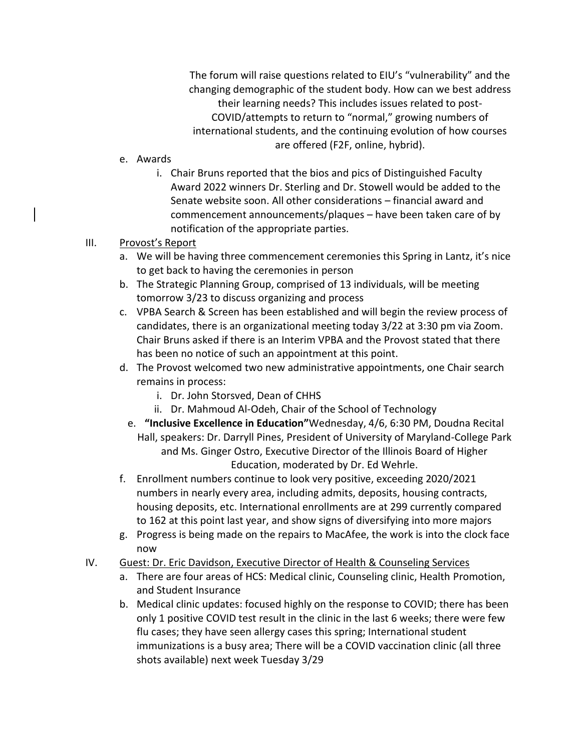The forum will raise questions related to EIU's "vulnerability" and the changing demographic of the student body. How can we best address their learning needs? This includes issues related to post-COVID/attempts to return to "normal," growing numbers of international students, and the continuing evolution of how courses are offered (F2F, online, hybrid).

- e. Awards
	- i. Chair Bruns reported that the bios and pics of Distinguished Faculty Award 2022 winners Dr. Sterling and Dr. Stowell would be added to the Senate website soon. All other considerations – financial award and commencement announcements/plaques – have been taken care of by notification of the appropriate parties.

## III. Provost's Report

- a. We will be having three commencement ceremonies this Spring in Lantz, it's nice to get back to having the ceremonies in person
- b. The Strategic Planning Group, comprised of 13 individuals, will be meeting tomorrow 3/23 to discuss organizing and process
- c. VPBA Search & Screen has been established and will begin the review process of candidates, there is an organizational meeting today 3/22 at 3:30 pm via Zoom. Chair Bruns asked if there is an Interim VPBA and the Provost stated that there has been no notice of such an appointment at this point.
- d. The Provost welcomed two new administrative appointments, one Chair search remains in process:
	- i. Dr. John Storsved, Dean of CHHS
	- ii. Dr. Mahmoud Al-Odeh, Chair of the School of Technology
	- e. **"Inclusive Excellence in Education"**Wednesday, 4/6, 6:30 PM, Doudna Recital Hall, speakers: Dr. Darryll Pines, President of University of Maryland-College Park and Ms. Ginger Ostro, Executive Director of the Illinois Board of Higher Education, moderated by Dr. Ed Wehrle.
- f. Enrollment numbers continue to look very positive, exceeding 2020/2021 numbers in nearly every area, including admits, deposits, housing contracts, housing deposits, etc. International enrollments are at 299 currently compared to 162 at this point last year, and show signs of diversifying into more majors
- g. Progress is being made on the repairs to MacAfee, the work is into the clock face now
- IV. Guest: Dr. Eric Davidson, Executive Director of Health & Counseling Services
	- a. There are four areas of HCS: Medical clinic, Counseling clinic, Health Promotion, and Student Insurance
	- b. Medical clinic updates: focused highly on the response to COVID; there has been only 1 positive COVID test result in the clinic in the last 6 weeks; there were few flu cases; they have seen allergy cases this spring; International student immunizations is a busy area; There will be a COVID vaccination clinic (all three shots available) next week Tuesday 3/29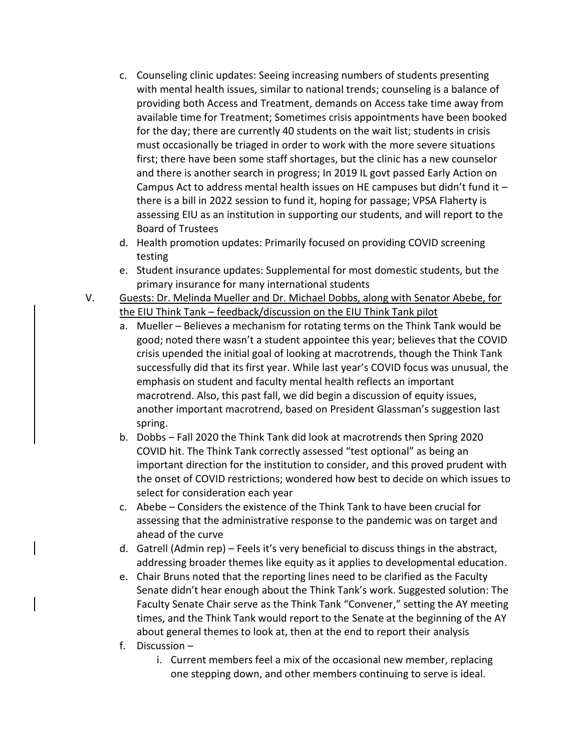- c. Counseling clinic updates: Seeing increasing numbers of students presenting with mental health issues, similar to national trends; counseling is a balance of providing both Access and Treatment, demands on Access take time away from available time for Treatment; Sometimes crisis appointments have been booked for the day; there are currently 40 students on the wait list; students in crisis must occasionally be triaged in order to work with the more severe situations first; there have been some staff shortages, but the clinic has a new counselor and there is another search in progress; In 2019 IL govt passed Early Action on Campus Act to address mental health issues on HE campuses but didn't fund it  $$ there is a bill in 2022 session to fund it, hoping for passage; VPSA Flaherty is assessing EIU as an institution in supporting our students, and will report to the Board of Trustees
- d. Health promotion updates: Primarily focused on providing COVID screening testing
- e. Student insurance updates: Supplemental for most domestic students, but the primary insurance for many international students
- V. Guests: Dr. Melinda Mueller and Dr. Michael Dobbs, along with Senator Abebe, for the EIU Think Tank – feedback/discussion on the EIU Think Tank pilot
	- a. Mueller Believes a mechanism for rotating terms on the Think Tank would be good; noted there wasn't a student appointee this year; believes that the COVID crisis upended the initial goal of looking at macrotrends, though the Think Tank successfully did that its first year. While last year's COVID focus was unusual, the emphasis on student and faculty mental health reflects an important macrotrend. Also, this past fall, we did begin a discussion of equity issues, another important macrotrend, based on President Glassman's suggestion last spring.
	- b. Dobbs Fall 2020 the Think Tank did look at macrotrends then Spring 2020 COVID hit. The Think Tank correctly assessed "test optional" as being an important direction for the institution to consider, and this proved prudent with the onset of COVID restrictions; wondered how best to decide on which issues to select for consideration each year
	- c. Abebe Considers the existence of the Think Tank to have been crucial for assessing that the administrative response to the pandemic was on target and ahead of the curve
	- d. Gatrell (Admin rep) Feels it's very beneficial to discuss things in the abstract, addressing broader themes like equity as it applies to developmental education.
	- e. Chair Bruns noted that the reporting lines need to be clarified as the Faculty Senate didn't hear enough about the Think Tank's work. Suggested solution: The Faculty Senate Chair serve as the Think Tank "Convener," setting the AY meeting times, and the Think Tank would report to the Senate at the beginning of the AY about general themes to look at, then at the end to report their analysis
	- f. Discussion
		- i. Current members feel a mix of the occasional new member, replacing one stepping down, and other members continuing to serve is ideal.